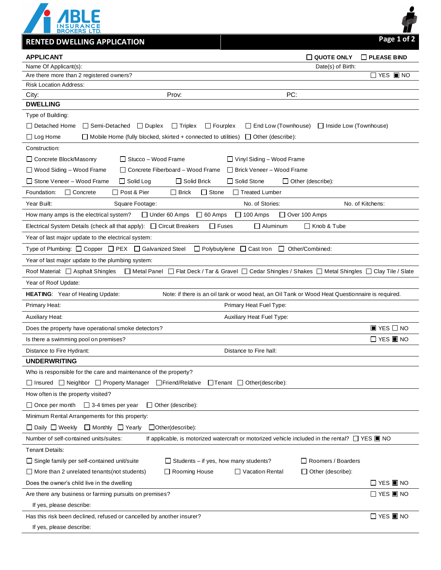

**RENTED DWELLING APPLICATION Page 1 of 2**

| Name Of Applicant(s):<br>Date(s) of Birth:<br>$\Box$ YES $\blacksquare$ NO<br>Are there more than 2 registered owners?<br><b>Risk Location Address:</b><br>PC:<br>City:<br>Prov:<br><b>DWELLING</b><br>Type of Building:<br>□ Detached Home<br>$\Box$ Semi-Detached<br>$\Box$ Duplex<br>$\Box$ Triplex<br>$\Box$ Fourplex<br>$\Box$ End Low (Townhouse)<br>□ Inside Low (Townhouse) |  |
|-------------------------------------------------------------------------------------------------------------------------------------------------------------------------------------------------------------------------------------------------------------------------------------------------------------------------------------------------------------------------------------|--|
|                                                                                                                                                                                                                                                                                                                                                                                     |  |
|                                                                                                                                                                                                                                                                                                                                                                                     |  |
|                                                                                                                                                                                                                                                                                                                                                                                     |  |
|                                                                                                                                                                                                                                                                                                                                                                                     |  |
|                                                                                                                                                                                                                                                                                                                                                                                     |  |
|                                                                                                                                                                                                                                                                                                                                                                                     |  |
|                                                                                                                                                                                                                                                                                                                                                                                     |  |
| $\Box$ Log Home<br>$\Box$ Mobile Home (fully blocked, skirted + connected to utilities)<br>$\Box$ Other (describe):                                                                                                                                                                                                                                                                 |  |
| Construction:                                                                                                                                                                                                                                                                                                                                                                       |  |
| $\Box$ Stucco – Wood Frame<br>$\Box$ Vinyl Siding - Wood Frame<br>□ Concrete Block/Masonry                                                                                                                                                                                                                                                                                          |  |
| $\Box$ Wood Siding - Wood Frame<br>$\Box$ Concrete Fiberboard – Wood Frame<br>□ Brick Veneer – Wood Frame                                                                                                                                                                                                                                                                           |  |
| $\Box$ Solid Brick<br>$\Box$ Solid Stone<br>Stone Veneer - Wood Frame<br>$\Box$ Solid Log<br>$\Box$ Other (describe):                                                                                                                                                                                                                                                               |  |
| Foundation:<br>$\Box$ Concrete<br>□ Post & Pier<br>$\Box$ Stone<br>$\Box$ Treated Lumber<br>$\Box$ Brick                                                                                                                                                                                                                                                                            |  |
| Year Built:<br>Square Footage:<br>No. of Stories:<br>No. of Kitchens:                                                                                                                                                                                                                                                                                                               |  |
| $\Box$ 60 Amps<br>$\Box$ 100 Amps<br>$\Box$ Under 60 Amps<br>$\Box$ Over 100 Amps<br>How many amps is the electrical system?                                                                                                                                                                                                                                                        |  |
| Electrical System Details (check all that apply): $\Box$ Circuit Breakers<br>$\Box$ Fuses<br>$\Box$ Aluminum<br>□ Knob & Tube                                                                                                                                                                                                                                                       |  |
| Year of last major update to the electrical system:                                                                                                                                                                                                                                                                                                                                 |  |
| Type of Plumbing: $\Box$ Copper $\Box$ PEX $\Box$ Galvanized Steel<br>$\Box$ Polybutylene $\Box$ Cast Iron<br>□ Other/Combined:                                                                                                                                                                                                                                                     |  |
| Year of last major update to the plumbing system:                                                                                                                                                                                                                                                                                                                                   |  |
| □ Metal Panel □ Flat Deck / Tar & Gravel □ Cedar Shingles / Shakes □ Metal Shingles □ Clay Tile / Slate<br>Roof Material: 4 Asphalt Shingles                                                                                                                                                                                                                                        |  |
| Year of Roof Update:                                                                                                                                                                                                                                                                                                                                                                |  |
| <b>HEATING:</b> Year of Heating Update:<br>Note: if there is an oil tank or wood heat, an Oil Tank or Wood Heat Questionnaire is required.                                                                                                                                                                                                                                          |  |
| Primary Heat:<br>Primary Heat Fuel Type:                                                                                                                                                                                                                                                                                                                                            |  |
| <b>Auxiliary Heat:</b><br>Auxiliary Heat Fuel Type:                                                                                                                                                                                                                                                                                                                                 |  |
| $\blacksquare$ YES $\square$ NO<br>Does the property have operational smoke detectors?                                                                                                                                                                                                                                                                                              |  |
| $\Box$ YES $\blacksquare$ NO<br>Is there a swimming pool on premises?                                                                                                                                                                                                                                                                                                               |  |
| Distance to Fire hall:<br>Distance to Fire Hydrant:                                                                                                                                                                                                                                                                                                                                 |  |
| <b>UNDERWRITING</b>                                                                                                                                                                                                                                                                                                                                                                 |  |
| Who is responsible for the care and maintenance of the property?                                                                                                                                                                                                                                                                                                                    |  |
| □ Insured □ Neighbor □ Property Manager □ Friend/Relative<br>$\Box$ Tenant $\Box$ Other(describe):                                                                                                                                                                                                                                                                                  |  |
| How often is the property visited?                                                                                                                                                                                                                                                                                                                                                  |  |
| $\Box$ Once per month $\Box$ 3-4 times per year<br>$\Box$ Other (describe):                                                                                                                                                                                                                                                                                                         |  |
| Minimum Rental Arrangements for this property:                                                                                                                                                                                                                                                                                                                                      |  |
| $\Box$ Daily $\Box$ Weekly<br>□ Monthly □ Yearly<br>$\Box$ Other (describe):                                                                                                                                                                                                                                                                                                        |  |
| Number of self-contained units/suites:<br>If applicable, is motorized watercraft or motorized vehicle included in the rental? $\Box$ YES $\blacksquare$ NO                                                                                                                                                                                                                          |  |
|                                                                                                                                                                                                                                                                                                                                                                                     |  |
| Tenant Details:                                                                                                                                                                                                                                                                                                                                                                     |  |
| $\Box$ Roomers / Boarders<br>$\Box$ Single family per self-contained unit/suite<br>$\Box$ Students – if yes, how many students?                                                                                                                                                                                                                                                     |  |
| □ Rooming House<br>$\Box$ Vacation Rental<br>$\Box$ Other (describe):<br>$\Box$ More than 2 unrelated tenants (not students)                                                                                                                                                                                                                                                        |  |
| $\Box$ YES $\blacksquare$ NO<br>Does the owner's child live in the dwelling                                                                                                                                                                                                                                                                                                         |  |
| $\Box$ YES $\blacksquare$ NO<br>Are there any business or farming pursuits on premises?                                                                                                                                                                                                                                                                                             |  |
| If yes, please describe:                                                                                                                                                                                                                                                                                                                                                            |  |

If yes, please describe: